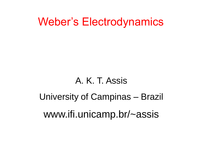## Weber's Electrodynamics

# A. K. T. Assis University of Campinas – Brazil www.ifi.unicamp.br/~assis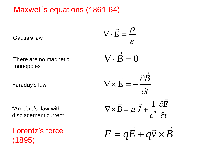#### Maxwell's equations (1861-64)

Gauss's law

There are no magnetic monopoles

Faraday's law

"Ampère's" law with displacement current

Lorentz's force

Gauss's law  
\nThere are no magnetic  
\nmonopoles  
\nFaraday's law  
\n
$$
\nabla \cdot \vec{E} = \frac{\rho}{\varepsilon}
$$
\n
$$
\nabla \cdot \vec{B} = 0
$$
\n
$$
\nabla \times \vec{E} = -\frac{\partial \vec{B}}{\partial t}
$$
\n
$$
\nabla \times \vec{B} = \mu \vec{J} + \frac{1}{c^2} \frac{\partial \vec{E}}{\partial t}
$$
\n
$$
\nabla \times \vec{B} = \mu \vec{J} + \frac{1}{c^2} \frac{\partial \vec{E}}{\partial t}
$$
\nLorentz's force  
\n(1895)  
\n
$$
\vec{F} = q\vec{E} + q\vec{v} \times \vec{B}
$$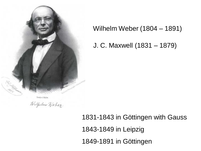

Willgelm Weber.

Wilhelm Weber (1804 – 1891)

J. C. Maxwell (1831 – 1879)

1831-1843 in Göttingen with Gauss 1843-1849 in Leipzig 1849-1891 in Göttingen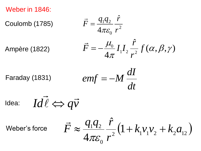Weber in 1846:

Coulomb (1785)

$$
\vec{F} = \frac{q_1 q_2}{4\pi \varepsilon_0} \frac{\hat{r}}{r^2}
$$

Ampère (1822)

$$
\vec{F} = -\frac{\mu_0}{4\pi} I_1 I_2 \frac{\hat{r}}{r^2} f(\alpha, \beta, \gamma)
$$

Faraday (1831)

$$
emf = -M\frac{dI}{dt}
$$

$$
\text{Idea:} \quad Id\vec{l} \Leftrightarrow q\vec{v}
$$

Weber's force

$$
\vec{F} \approx \frac{q_1 q_2}{4\pi \varepsilon_0} \frac{\hat{r}}{r^2} \left( 1 + k_1 v_1 v_2 + k_2 a_{12} \right)
$$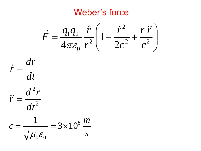#### Weber's force





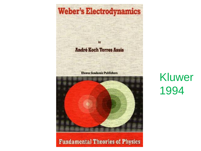

#### **Fundamental Theories of Physics**

Kluwer 1994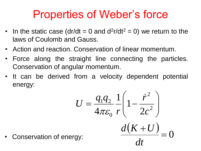## Properties of Weber's force

- In the static case (dr/dt = 0 and  $d^2r/dt^2 = 0$ ) we return to the laws of Coulomb and Gauss.
- Action and reaction. Conservation of linear momentum.
- Force along the straight line connecting the particles. Conservation of angular momentum.
- It can be derived from a velocity dependent potential energy:

$$
U = \frac{q_1 q_2}{4\pi \varepsilon_0} \frac{1}{r} \left( 1 - \frac{\dot{r}^2}{2c^2} \right)
$$
  
gy:  
gy:  

$$
\frac{d(K+U)}{dt} = 0
$$

Conservation of energ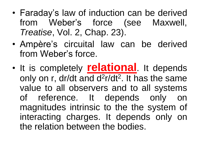- Faraday's law of induction can be derived from Weber's force (see Maxwell, *Treatise*, Vol. 2, Chap. 23).
- Ampère's circuital law can be derived from Weber's force.
- It is completely **relational**. It depends only on r, dr/dt and d<sup>2</sup>r/dt<sup>2</sup>. It has the same value to all observers and to all systems of reference. It depends only on magnitudes intrinsic to the the system of interacting charges. It depends only on the relation between the bodies.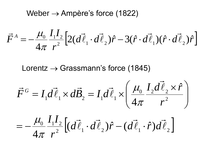Weber  $\rightarrow$  Ampère's force (1822)

$$
\vec{F}^A = -\frac{\mu_0}{4\pi} \frac{I_1 I_2}{r^2} \Big[ 2(d\vec{\ell}_1 \cdot d\vec{\ell}_2) \hat{r} - 3(\hat{r} \cdot d\vec{\ell}_1)(\hat{r} \cdot d\vec{\ell}_2) \hat{r} \Big]
$$

Lorentz  $\rightarrow$  Grassmann's force (1845)

$$
\vec{F}^G = I_1 d\vec{\ell}_1 \times d\vec{B}_2 = I_1 d\vec{\ell}_1 \times \left(\frac{\mu_0}{4\pi} \frac{I_2 d\vec{\ell}_2 \times \hat{r}}{r^2}\right)
$$

$$
=-\frac{\mu_0}{4\pi}\frac{I_1I_2}{r^2}\left[(d\vec{\ell}_1\cdot d\vec{\ell}_2)\hat{r}-(d\vec{\ell}_1\cdot\hat{r})d\vec{\ell}_2\right]
$$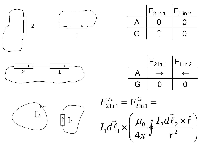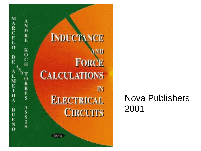

#### Nova Publishers 2001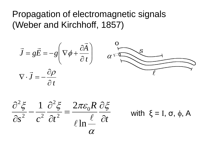Propagation of electromagnetic signals (Weber and Kirchhoff, 1857)

$$
\vec{J} = g\vec{E} = -g\left(\nabla\phi + \frac{\partial\vec{A}}{\partial t}\right) \qquad \alpha = \frac{g}{\sqrt{2\pi}} \cos\theta
$$
\n
$$
\nabla \cdot \vec{J} = -\frac{\partial \rho}{\partial t}
$$

$$
\frac{\partial^2 \xi}{\partial s^2} - \frac{1}{c^2} \frac{\partial^2 \xi}{\partial t^2} = \frac{2\pi \varepsilon_0 R}{\ell \ln \frac{\ell}{\alpha}} \frac{\partial \xi}{\partial t}
$$

with  $\xi = I$ , σ, φ, A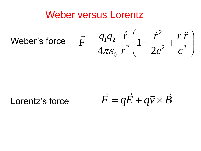#### Weber versus Lorentz

Weber's force  $\overline{\phantom{a}}$   $\int$   $\overline{\phantom{a}}$  $\overline{\phantom{a}}$  $\setminus$  $\bigg($  $=\frac{q_1q_2}{4\pi\epsilon} \frac{1}{r^2} \left(1-\frac{1}{2\epsilon^2}+\frac{1}{2}\right)$ 2 2 0  $1$ <sup> $4$ </sup> $2$ 2 1  $\hat{r}$  $4\pi\varepsilon_0 r^2$   $\begin{bmatrix} 1 & 2c^2 & c \end{bmatrix}$ *r r c r r*  $q_1 q_2 \hat{r}$ *F*  $\vec{r}$   $q_1q_2$   $\hat{r}$   $\hat{i}$   $r^2$   $r\ddot{r}$  $\pi\varepsilon$ 

Lorentz's force

 $\vec{F} = q\vec{E} + q\vec{v} \times \vec{B}$  $\Rightarrow$  $\Rightarrow$  $\Rightarrow$   $\Rightarrow$  $= q\vec{E} + q\vec{v} \times$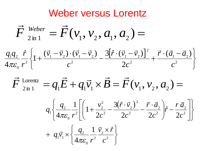#### Weber versus Lorentz

$$
\vec{F}^{\text{ Weber}}_{2\text{ in } 1} = \vec{F}(v_1, v_2, a_1, a_2) =
$$
\n
$$
\frac{q_1 q_2}{4\pi \varepsilon_0} \frac{\hat{r}}{r^2} \left\{ 1 + \frac{(\vec{v}_1 - \vec{v}_2) \cdot (\vec{v}_1 - \vec{v}_2)}{c^2} - \frac{3[\hat{r} \cdot (\vec{v}_1 - \vec{v}_2)]^2}{2c^2} + \frac{\vec{r} \cdot (\vec{a}_1 - \vec{a}_2)}{c^2} \right\}
$$

$$
\vec{F}_{2\text{in 1}}^{\text{Lorentz}} = q_1 \vec{E} + q_1 \vec{v}_1 \times \vec{B} = \vec{F}(v_1, v_2, a_2) =
$$

$$
q_{1}\left\{\frac{q_{2}}{4\pi\varepsilon_{0}}\frac{1}{r^{2}}\left[\left(1+\frac{v_{2}^{2}}{2c^{2}}-\frac{3(\hat{r}\cdot\vec{v}_{2})^{2}}{2c^{2}}-\frac{\vec{r}\cdot\vec{a}_{2}}{2c^{2}}\right)\hat{r}-\frac{r\,\vec{a}_{2}}{2c^{2}}\right]\right\}
$$
  
+ 
$$
q_{1}\vec{v}_{1}\times\left\{\frac{q_{2}}{4\pi\varepsilon_{0}}\frac{1}{r^{2}}\frac{\vec{v}_{2}\times\hat{r}}{c^{2}}\right\}
$$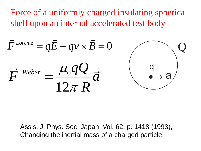Force of a uniformly charged insulating spherical shell upon an internal accelerated test body

$$
\vec{F}^{\text{Lorentz}} = q\vec{E} + q\vec{v} \times \vec{B} = 0
$$
\n
$$
\vec{F}^{\text{Weber}} = \frac{\mu_0 qQ}{12\pi R} \vec{a}
$$

Assis, J. Phys. Soc. Japan, Vol. 62, p. 1418 (1993), Changing the inertial mass of a charged particle.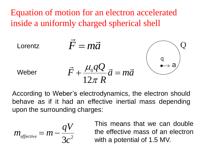Equation of motion for an electron accelerated inside a uniformly charged spherical shell

Lorentz 
$$
\vec{F} = m\vec{a}
$$
  
\nWeber  $\vec{F} + \frac{\mu_0 qQ}{12\pi R} \vec{a} = m\vec{a}$ 

According to Weber's electrodynamics, the electron should behave as if it had an effective inertial mass depending upon the surrounding charges:

$$
m_{\text{effective}} = m - \frac{qV}{3c^2}
$$

This means that we can double the effective mass of an electron with a potential of 1.5 MV.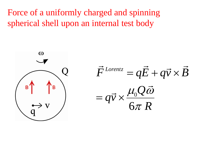Force of a uniformly charged and spinning spherical shell upon an internal test body

 $\omega$ B

*R Q*  $q\vec{v}$  $\vec{F}^{Lorentz} = q\vec{E} + q\vec{v} \times \vec{B}$ 6 0  ${\cal T}$  $\mu_{0}Q\omega$  $\overrightarrow{ }$  $\Rightarrow$  $= q\vec{v} \times$  $= q\vec{E} + q\vec{v} \times$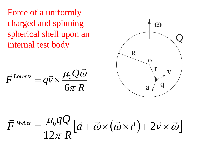Force of a uniformly charged and spinning spherical shell upon an internal test body

$$
\vec{F}^{Lorentz} = q\vec{v} \times \frac{\mu_0 Q \vec{\omega}}{6\pi R}
$$



$$
\vec{F}^{\text{ Weber}} = \frac{\mu_0 qQ}{12\pi R} [\vec{a} + \vec{\omega} \times (\vec{\omega} \times \vec{r}) + 2\vec{v} \times \vec{\omega}]
$$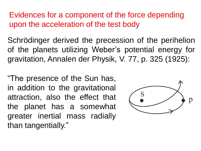Evidences for a component of the force depending upon the acceleration of the test body

Schrödinger derived the precession of the perihelion of the planets utilizing Weber's potential energy for gravitation, Annalen der Physik, V. 77, p. 325 (1925):

"The presence of the Sun has, in addition to the gravitational attraction, also the effect that the planet has a somewhat greater inertial mass radially than tangentially."

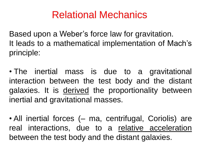### Relational Mechanics

Based upon a Weber's force law for gravitation. It leads to a mathematical implementation of Mach's principle:

• The inertial mass is due to a gravitational interaction between the test body and the distant galaxies. It is derived the proportionality between inertial and gravitational masses.

• All inertial forces (– ma, centrifugal, Coriolis) are real interactions, due to a relative acceleration between the test body and the distant galaxies.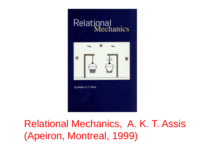

## Relational Mechanics, A. K. T. Assis (Apeiron, Montreal, 1999)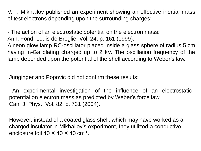V. F. Mikhailov published an experiment showing an effective inertial mass of test electrons depending upon the surrounding charges:

- The action of an electrostatic potential on the electron mass: Ann. Fond. Louis de Broglie, Vol. 24, p. 161 (1999). A neon glow lamp RC-oscillator placed inside a glass sphere of radius 5 cm having In-Ga plating charged up to 2 kV. The oscillation frequency of the lamp depended upon the potential of the shell according to Weber's law.

Junginger and Popovic did not confirm these results:

- An experimental investigation of the influence of an electrostatic potential on electron mass as predicted by Weber's force law: Can. J. Phys., Vol. 82, p. 731 (2004).

However, instead of a coated glass shell, which may have worked as a charged insulator in Mikhailov's experiment, they utilized a conductive enclosure foil 40  $\times$  40  $\times$  40 cm<sup>3</sup>.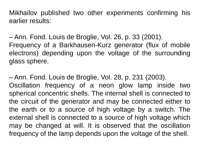Mikhailov published two other experiments confirming his earlier results:

– Ann. Fond. Louis de Broglie, Vol. 26, p. 33 (2001). Frequency of a Barkhausen-Kurz generator (flux of mobile electrons) depending upon the voltage of the surrounding glass sphere.

– Ann. Fond. Louis de Broglie, Vol. 28, p. 231 (2003). Oscillation frequency of a neon glow lamp inside two spherical concentric shells. The internal shell is connected to the circuit of the generator and may be connected either to the earth or to a source of high voltage by a switch. The external shell is connected to a source of high voltage which may be changed at will. It is observed that the oscillation frequency of the lamp depends upon the voltage of the shell.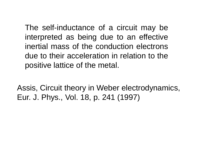The self-inductance of a circuit may be interpreted as being due to an effective inertial mass of the conduction electrons due to their acceleration in relation to the positive lattice of the metal.

Assis, Circuit theory in Weber electrodynamics, Eur. J. Phys., Vol. 18, p. 241 (1997)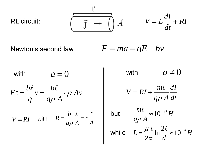$$
\begin{array}{ccc}\n & \ell & \\
& \hline\n\end{array}\n\qquad \qquad V = L\frac{dI}{dt} + RI
$$

 $F = ma = qE - bv$ Newton's second law

 $a = 0$ *Av*  $q\rho A$ *b v q b*  $E\ell = \frac{\nu\kappa}{\nu}$   $v = \frac{\nu\kappa}{\nu} \cdot \rho$  $\boldsymbol{\rho}$  $=\frac{\nu}{\nu}v=\frac{\nu}{\nu}$ .  $\ell$  be  $\ell$  $V = RI$  with  $R = \frac{b}{q\rho} \frac{c}{A} = r \frac{c}{A}$  $q\rho A$ *b R*  $\ell$   $\ell$  $=\frac{v}{v}$   $\frac{v}{v}$   $=\frac{v}{v}$  $\boldsymbol{\rho}$ with with

with  $a \neq 0$ *dt dI*  $q\rho A$ *m*  $V = RI$  $\rho$  $\ell$  $= RI +$ but  $\frac{H\lambda}{\lambda} \approx 10^{-16} H$  $q\rho A$  $\frac{m\ell}{\cdot} \approx 10^{-16}$  $\rho$  $\ell$ while  $L = \frac{\mu_0 \kappa}{2} \ln \frac{2\kappa}{l} \approx 10^{-6} H$ *d*  $L = \frac{\mu_0 \epsilon}{2} \ln \frac{2\epsilon}{\epsilon} \approx 10^{-6}$  $\ln \frac{2\ell}{I} \approx 10$ 2  $=\frac{\mu_0\epsilon}{2} \ln \frac{2\epsilon}{\epsilon} \approx 10^{-7}$  $\ell_{12}$  2 $\ell$  $\pi$  $\mu_{\scriptscriptstyle (}$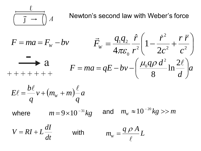

Newton's second law with Weber's force

$$
F = ma = F_w - bv
$$
  
\n
$$
\vec{F}_w = \frac{q_1 q_2}{4\pi \varepsilon_0} \frac{\hat{r}}{r^2} \left( 1 - \frac{\dot{r}^2}{2c^2} + \frac{r \dot{r}}{c^2} \right)
$$
  
\n
$$
+ + + + + + +
$$
  
\n
$$
F = ma = qE - bv - \left( \frac{\mu_0 q \rho \, d^2}{8} \ln \frac{2\ell}{d} \right) a
$$

$$
E\ell = \frac{b\ell}{q}v + (m_w + m)\frac{\ell}{q}a
$$

where

$$
m=9\times10^{-31}kg
$$

and  $m_{\scriptscriptstyle W} \approx 10^{-20} kg >> m$ 

*dt*  $V = RI + L \frac{dI}{dt}$ with *L q A*  $m_{\widetilde{W}}$  $\ell$  $=\frac{q\rho}{q}$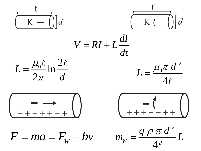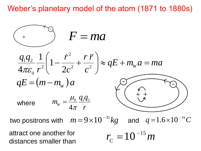Weber's planetary model of the atom (1871 to 1880s)

$$
F = ma
$$
  
\n
$$
\frac{q_1 q_2}{4\pi \varepsilon_0} \frac{1}{r^2} \left( 1 - \frac{\dot{r}^2}{2c^2} + \frac{r \ddot{r}}{c^2} \right) \approx qE + m_w a = ma
$$
  
\n
$$
qE = (m - m_w)a
$$
  
\nwhere  $m_w = \frac{\mu_0}{4\pi} \frac{q_1 q_2}{r}$ 

two positrons with  $m\!=\!9\!\times\!10^{-31}kg$  and  $q\!=\!1.6\!\times\!10^{-19}C$ 

attract one another for distances smaller than

$$
r_c=10^{-15}m
$$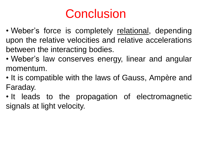# **Conclusion**

- Weber's force is completely relational, depending upon the relative velocities and relative accelerations between the interacting bodies.
- Weber's law conserves energy, linear and angular momentum.
- It is compatible with the laws of Gauss, Ampère and Faraday.
- It leads to the propagation of electromagnetic signals at light velocity.